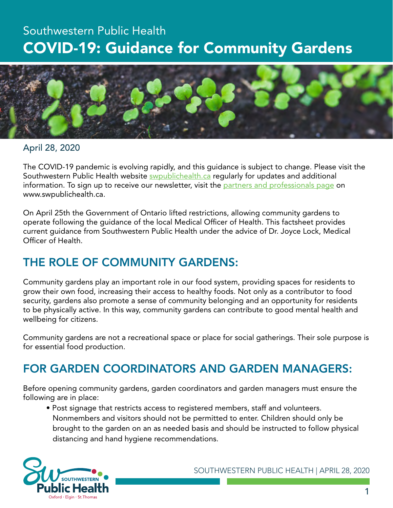# Southwestern Public Health COVID-19: Guidance for Community Gardens



#### April 28, 2020

The COVID-19 pandemic is evolving rapidly, and this guidance is subject to change. Please visit the Southwestern Public Health website [swpublichealth.ca](http://www.swpublichealth.ca) regularly for updates and additional information. To sign up to receive our newsletter, visit the [partners and professionals page](https://www.swpublichealth.ca/partners-and-professionals-update-novel-coronavirus-covid-19) on www.swpublichealth.ca.

On April 25th the Government of Ontario lifted restrictions, allowing community gardens to operate following the guidance of the local Medical Officer of Health. This factsheet provides current guidance from Southwestern Public Health under the advice of Dr. Joyce Lock, Medical Officer of Health.

### THE ROLE OF COMMUNITY GARDENS:

Community gardens play an important role in our food system, providing spaces for residents to grow their own food, increasing their access to healthy foods. Not only as a contributor to food security, gardens also promote a sense of community belonging and an opportunity for residents to be physically active. In this way, community gardens can contribute to good mental health and wellbeing for citizens.

Community gardens are not a recreational space or place for social gatherings. Their sole purpose is for essential food production.

# FOR GARDEN COORDINATORS AND GARDEN MANAGERS:

Before opening community gardens, garden coordinators and garden managers must ensure the following are in place:

• Post signage that restricts access to registered members, staff and volunteers. Nonmembers and visitors should not be permitted to enter. Children should only be brought to the garden on an as needed basis and should be instructed to follow physical distancing and hand hygiene recommendations.

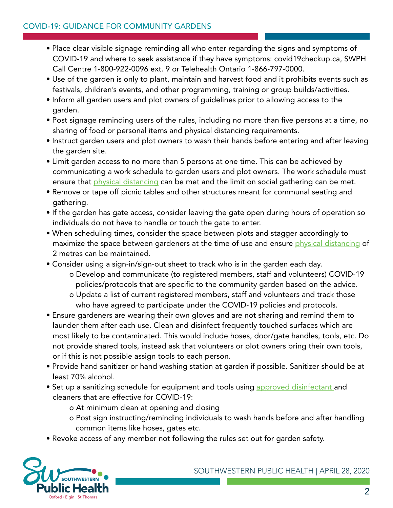- Place clear visible signage reminding all who enter regarding the signs and symptoms of COVID-19 and where to seek assistance if they have symptoms: covid19checkup.ca, SWPH Call Centre 1-800-922-0096 ext. 9 or Telehealth Ontario 1-866-797-0000.
- Use of the garden is only to plant, maintain and harvest food and it prohibits events such as festivals, children's events, and other programming, training or group builds/activities.
- Inform all garden users and plot owners of guidelines prior to allowing access to the garden.
- Post signage reminding users of the rules, including no more than five persons at a time, no sharing of food or personal items and physical distancing requirements.
- Instruct garden users and plot owners to wash their hands before entering and after leaving the garden site.
- Limit garden access to no more than 5 persons at one time. This can be achieved by communicating a work schedule to garden users and plot owners. The work schedule must ensure that [physical distancing](https://www.canada.ca/en/public-health/services/publications/diseases-conditions/social-distancing.html) can be met and the limit on social gathering can be met.
- Remove or tape off picnic tables and other structures meant for communal seating and gathering.
- If the garden has gate access, consider leaving the gate open during hours of operation so individuals do not have to handle or touch the gate to enter.
- When scheduling times, consider the space between plots and stagger accordingly to maximize the space between gardeners at the time of use and ensure [physical distancing](https://www.canada.ca/en/public-health/services/publications/diseases-conditions/social-distancing.html) of 2 metres can be maintained.
- Consider using a sign-in/sign-out sheet to track who is in the garden each day.
	- o Develop and communicate (to registered members, staff and volunteers) COVID-19 policies/protocols that are specific to the community garden based on the advice.
	- o Update a list of current registered members, staff and volunteers and track those who have agreed to participate under the COVID-19 policies and protocols.
- Ensure gardeners are wearing their own gloves and are not sharing and remind them to launder them after each use. Clean and disinfect frequently touched surfaces which are most likely to be contaminated. This would include hoses, door/gate handles, tools, etc. Do not provide shared tools, instead ask that volunteers or plot owners bring their own tools, or if this is not possible assign tools to each person.
- Provide hand sanitizer or hand washing station at garden if possible. Sanitizer should be at least 70% alcohol.
- Set up a sanitizing schedule for equipment and tools using [approved disinfectant a](https://www.canada.ca/en/health-canada/services/drugs-health-products/disinfectants/covid-19/list.html)nd cleaners that are effective for COVID-19:
	- o At minimum clean at opening and closing
	- o Post sign instructing/reminding individuals to wash hands before and after handling common items like hoses, gates etc.
- Revoke access of any member not following the rules set out for garden safety.

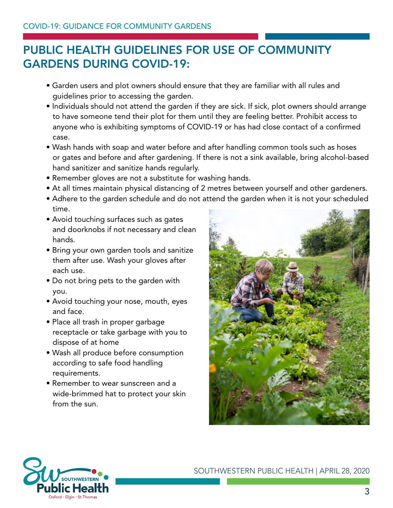# PUBLIC HEALTH GUIDELINES FOR USE OF COMMUNITY GARDENS DURING COVID-19:

- Garden users and plot owners should ensure that they are familiar with all rules and guidelines prior to accessing the garden.
- Individuals should not attend the garden if they are sick. If sick, plot owners should arrange to have someone tend their plot for them until they are feeling better. Prohibit access to anyone who is exhibiting symptoms of COVID-19 or has had close contact of a confirmed case.
- Wash hands with soap and water before and after handling common tools such as hoses or gates and before and after gardening. If there is not a sink available, bring alcohol-based hand sanitizer and sanitize hands regularly.
- Remember gloves are not a substitute for washing hands.
- At all times maintain physical distancing of 2 metres between yourself and other gardeners.
- Adhere to the garden schedule and do not attend the garden when it is not your scheduled time.
- Avoid touching surfaces such as gates and doorknobs if not necessary and clean hands.
- Bring your own garden tools and sanitize them after use. Wash your gloves after each use.
- Do not bring pets to the garden with you.
- Avoid touching your nose, mouth, eyes and face.
- Place all trash in proper garbage receptacle or take garbage with you to dispose of at home
- Wash all produce before consumption according to safe food handling requirements.
- Remember to wear sunscreen and a wide-brimmed hat to protect your skin from the sun.